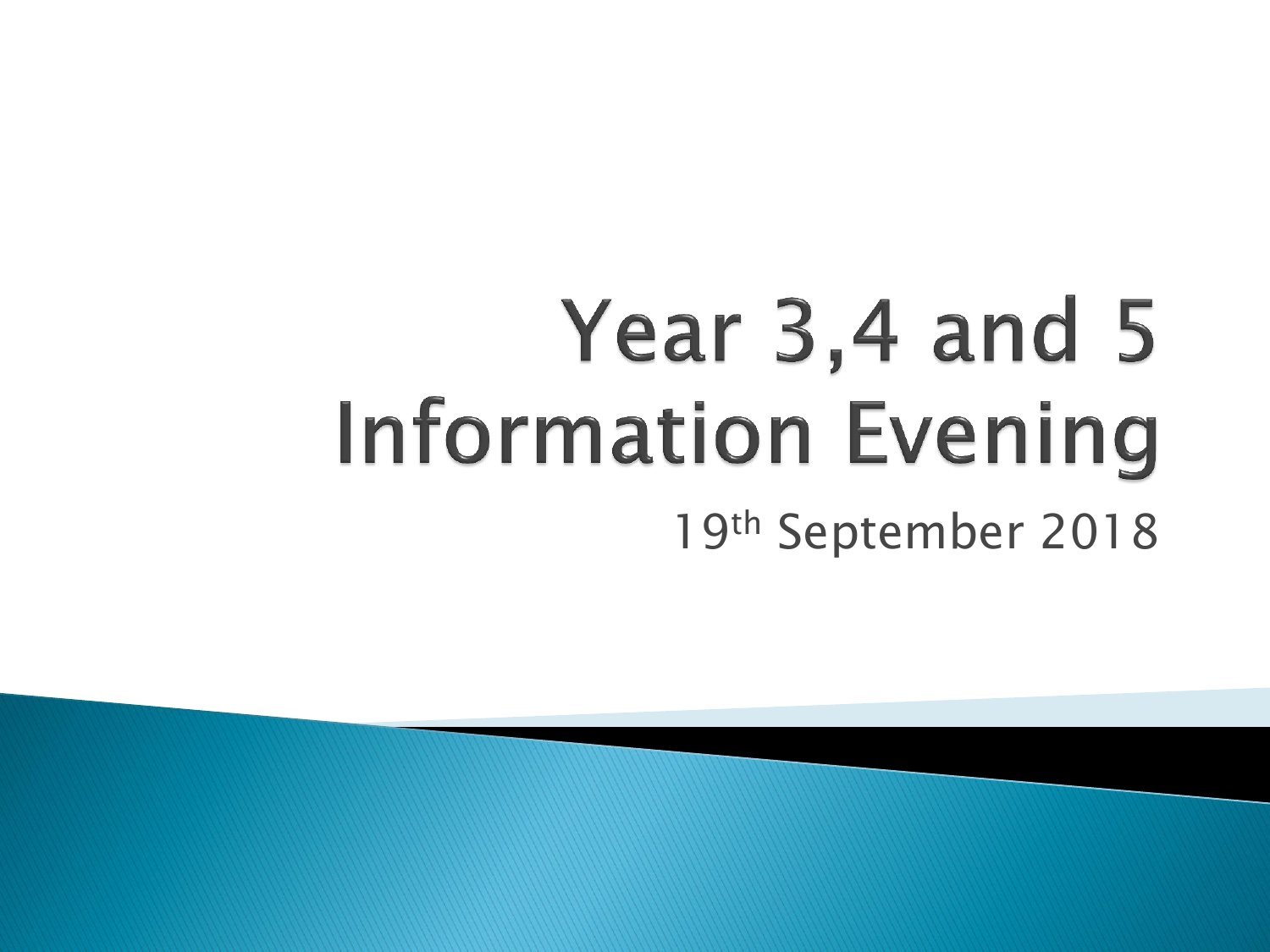# Year 3,4 and 5 **Information Evening** 19th September 2018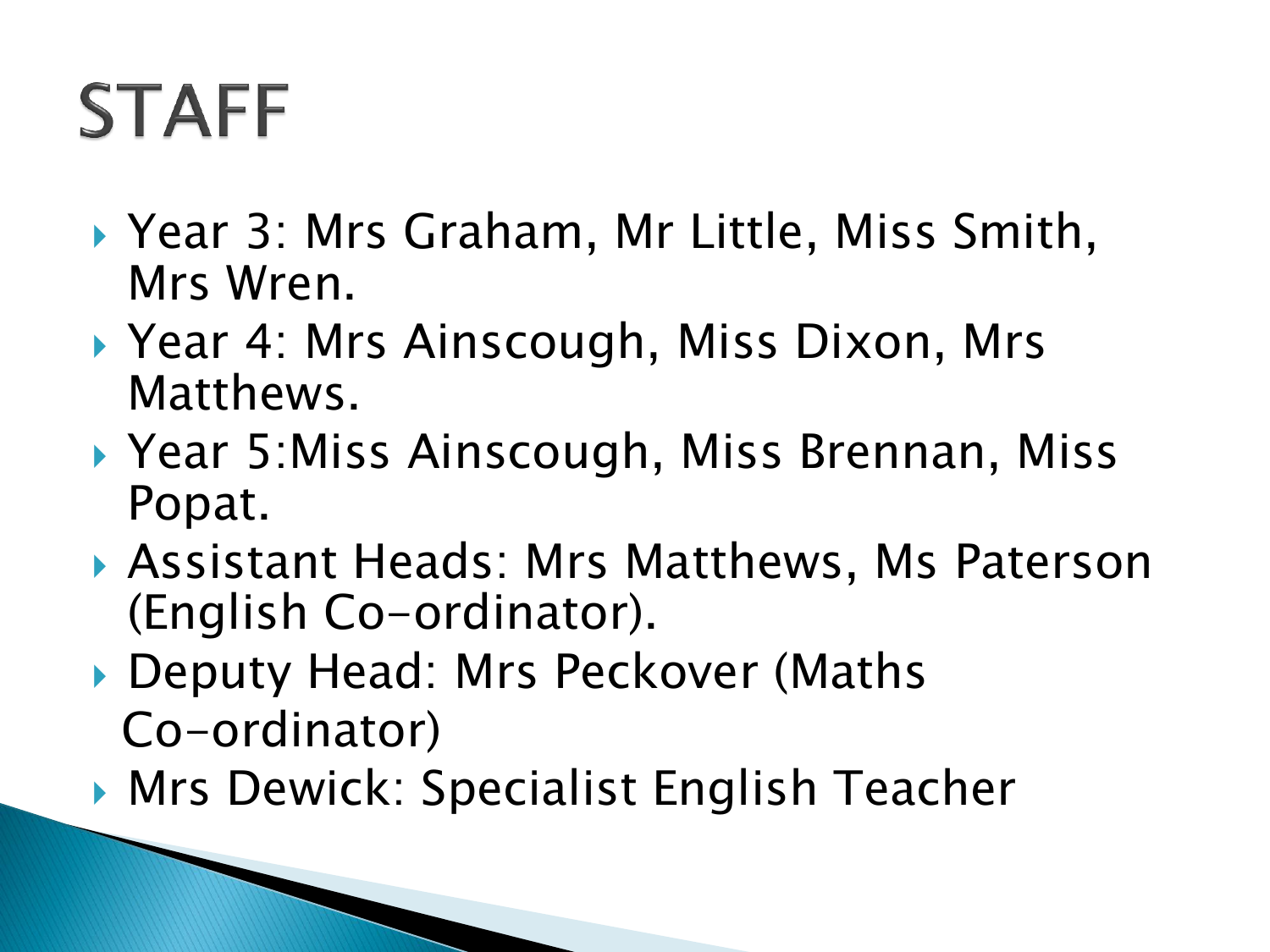### **STAFF**

- ▶ Year 3: Mrs Graham, Mr Little, Miss Smith, Mrs Wren.
- Year 4: Mrs Ainscough, Miss Dixon, Mrs Matthews.
- Year 5:Miss Ainscough, Miss Brennan, Miss Popat.
- Assistant Heads: Mrs Matthews, Ms Paterson (English Co-ordinator).
- ▶ Deputy Head: Mrs Peckover (Maths Co-ordinator)
- Mrs Dewick: Specialist English Teacher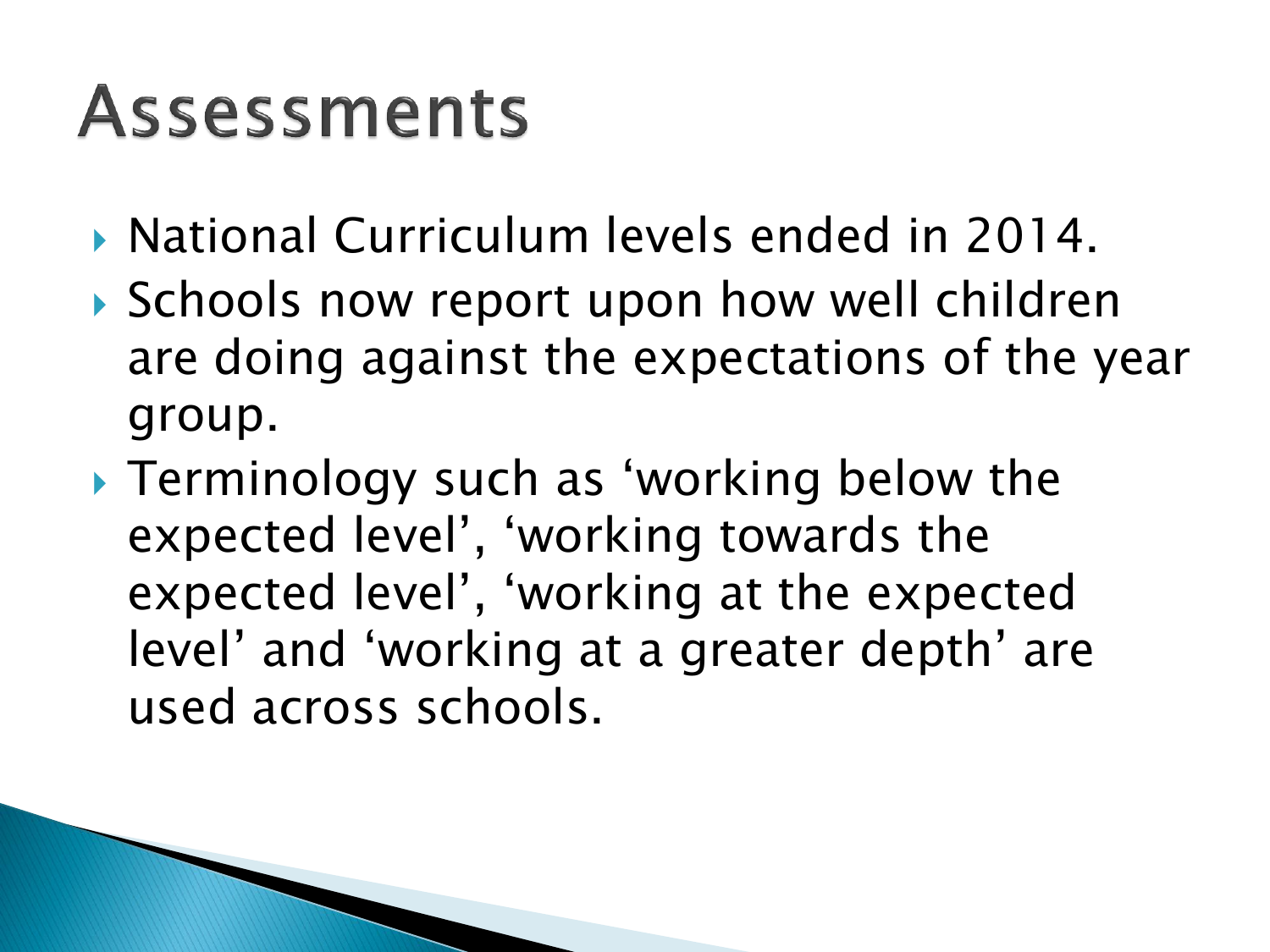#### Assessments

- ▶ National Curriculum levels ended in 2014.
- Schools now report upon how well children are doing against the expectations of the year group.
- Terminology such as 'working below the expected level', 'working towards the expected level', 'working at the expected level' and 'working at a greater depth' are used across schools.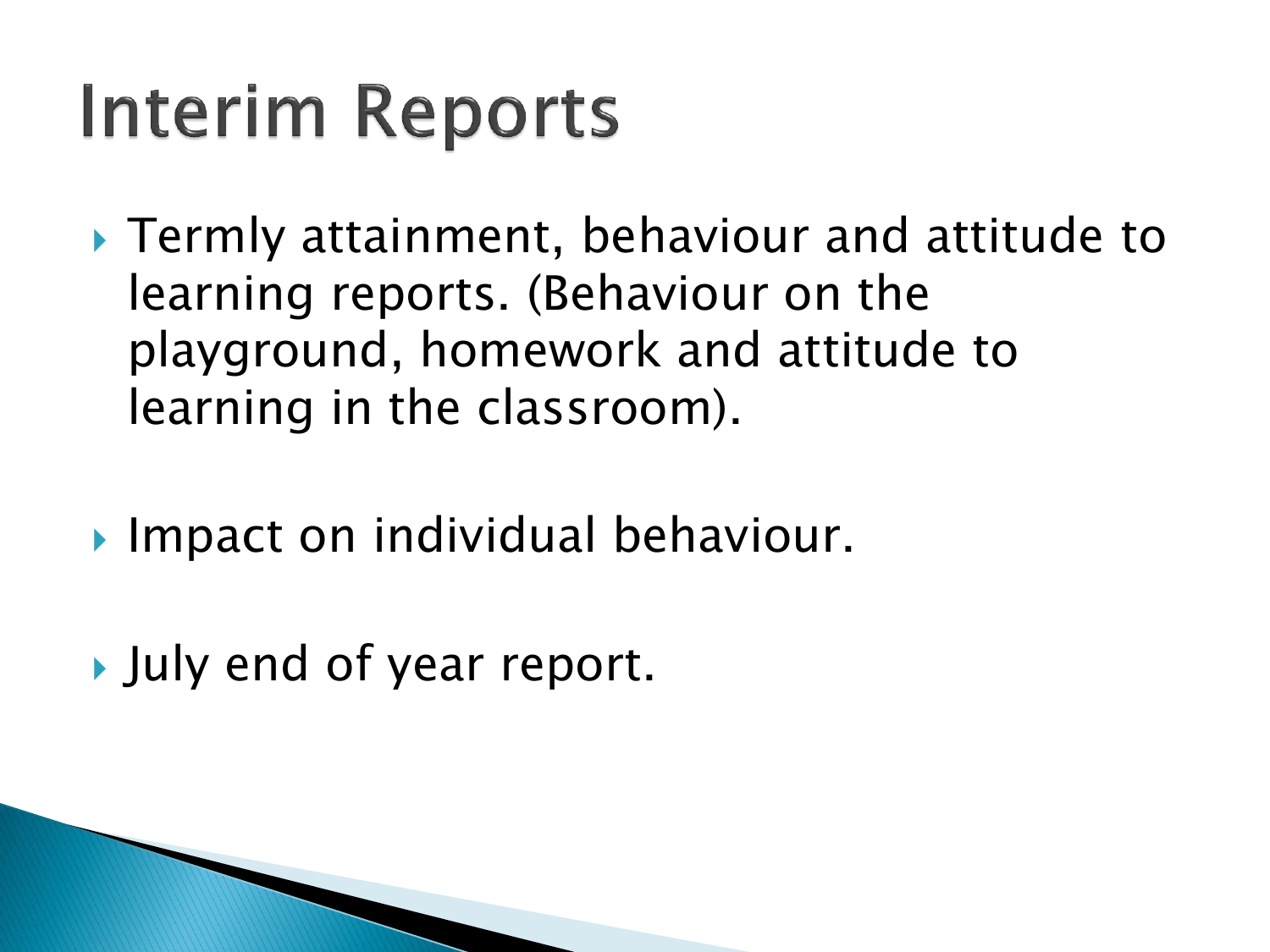### **Interim Reports**

- Termly attainment, behaviour and attitude to learning reports. (Behaviour on the playground, homework and attitude to learning in the classroom).
- ▶ Impact on individual behaviour.
- July end of year report.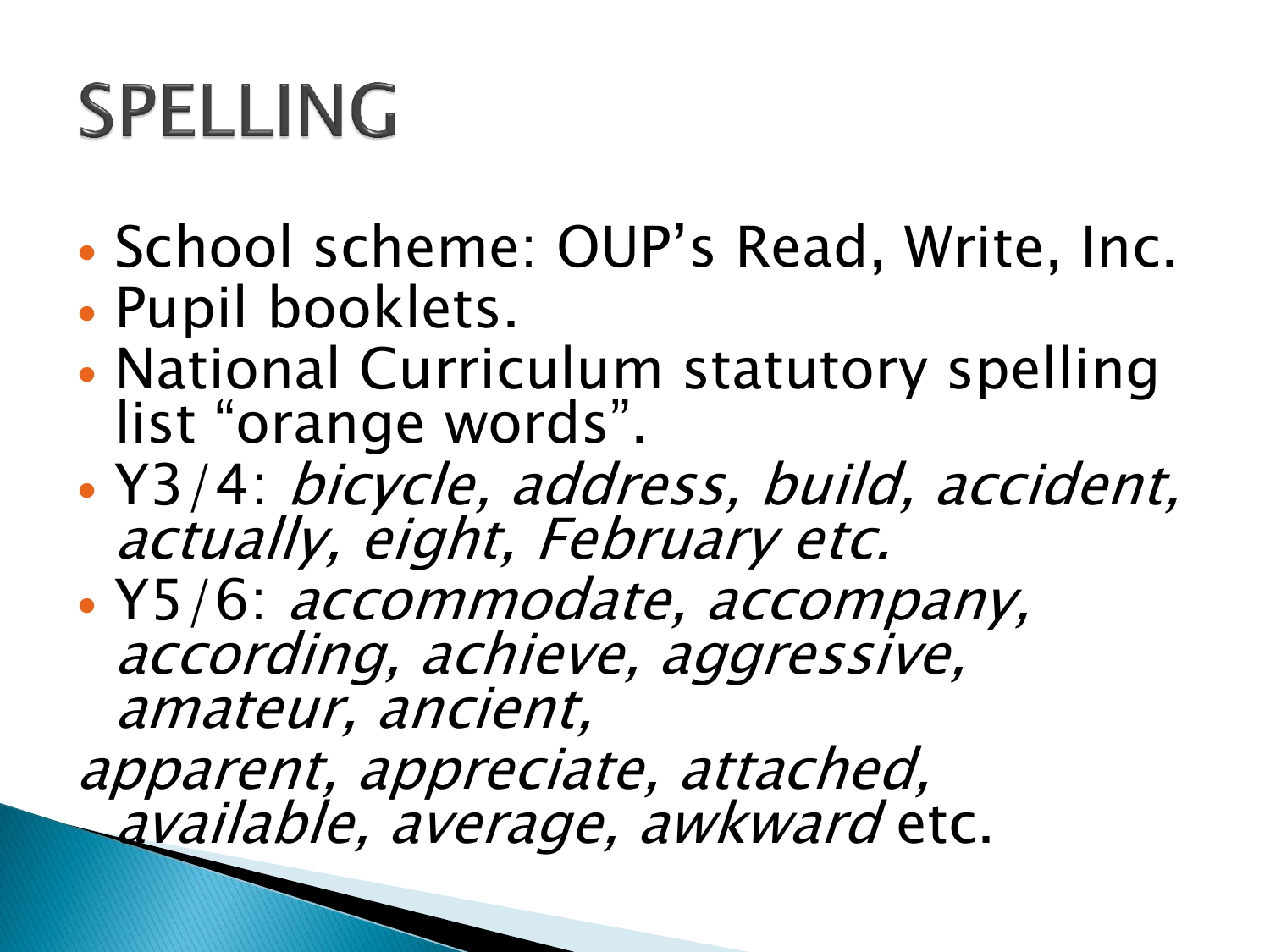# **SPELLING**

- School scheme: OUP's Read, Write, Inc.
- Pupil booklets.
- National Curriculum statutory spelling list "orange words".
- Y3/4: bicycle, address, build, accident, actually, eight, February etc.
- Y5/6: accommodate, accompany, according, achieve, aggressive, amateur, ancient,

apparent, appreciate, attached, available, average, awkward etc.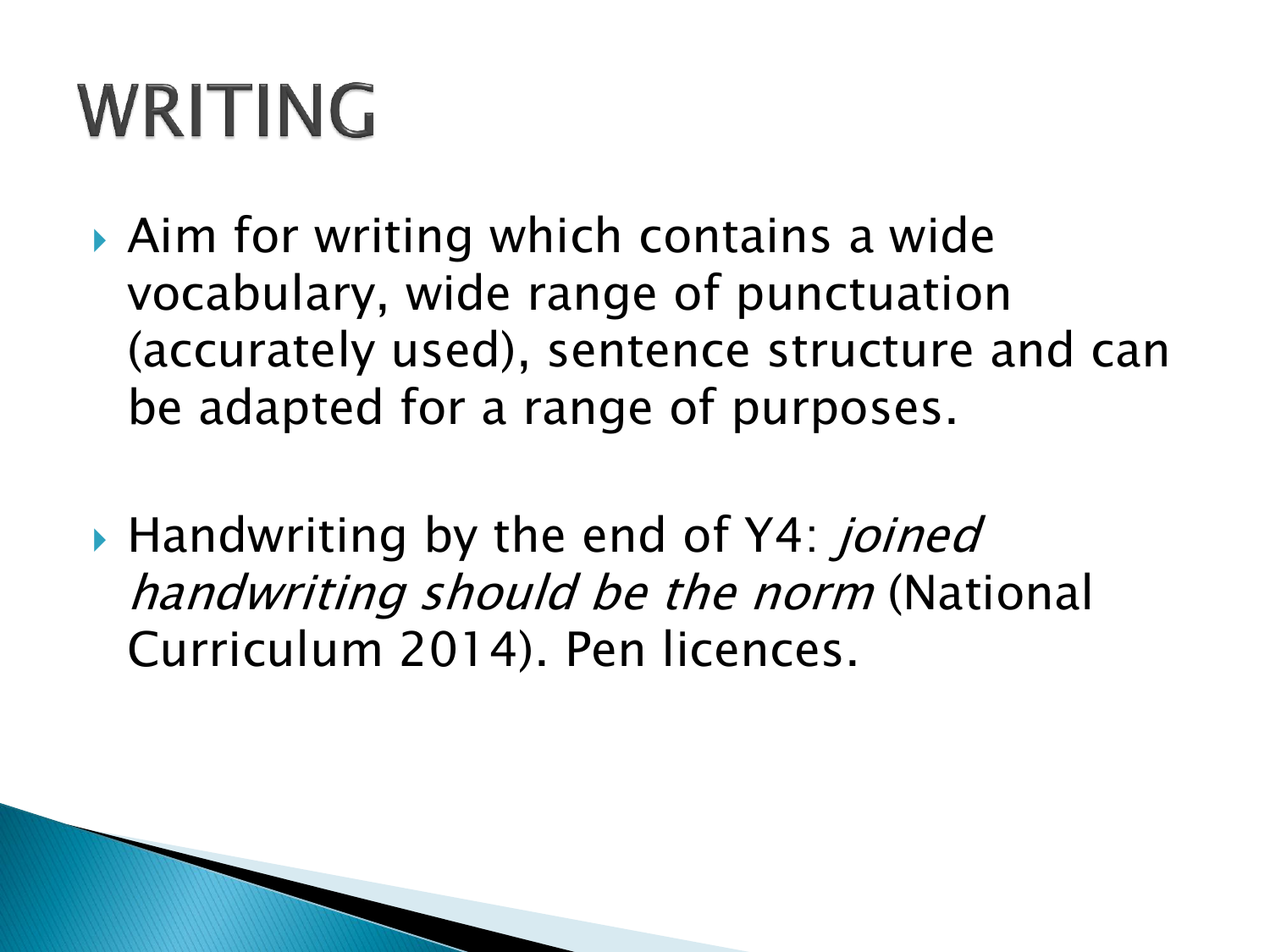## WRITING

- Aim for writing which contains a wide vocabulary, wide range of punctuation (accurately used), sentence structure and can be adapted for a range of purposes.
- ▶ Handwriting by the end of Y4: *joined* handwriting should be the norm (National Curriculum 2014). Pen licences.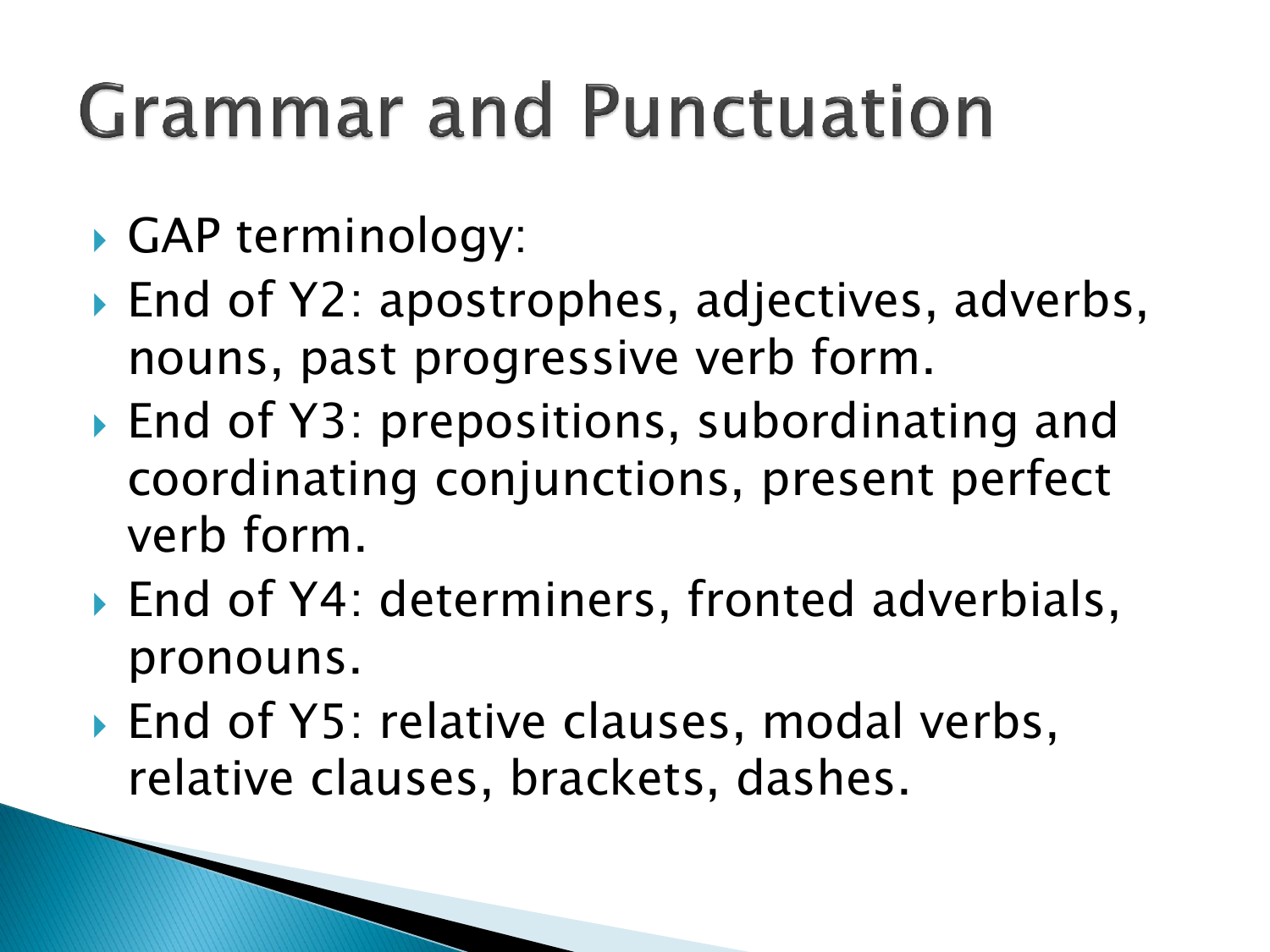### **Grammar and Punctuation**

- GAP terminology:
- ▶ End of Y2: apostrophes, adjectives, adverbs, nouns, past progressive verb form.
- ▶ End of Y3: prepositions, subordinating and coordinating conjunctions, present perfect verb form.
- ▶ End of Y4: determiners, fronted adverbials, pronouns.
- ▶ End of Y5: relative clauses, modal verbs, relative clauses, brackets, dashes.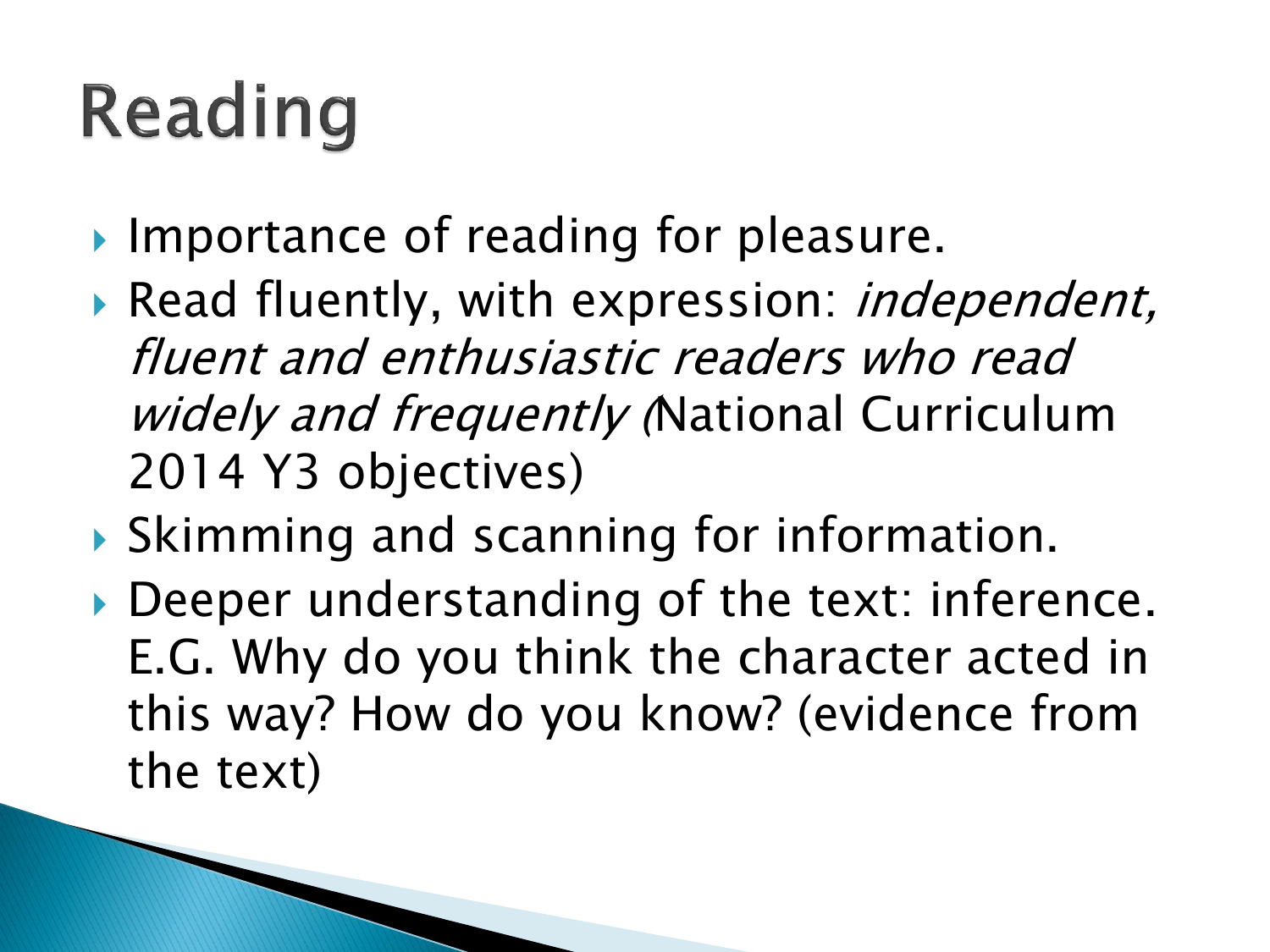# Reading

- Importance of reading for pleasure.
- Read fluently, with expression: *independent*, fluent and enthusiastic readers who read widely and frequently (National Curriculum 2014 Y3 objectives)
- Skimming and scanning for information.
- ▶ Deeper understanding of the text: inference. E.G. Why do you think the character acted in this way? How do you know? (evidence from the text)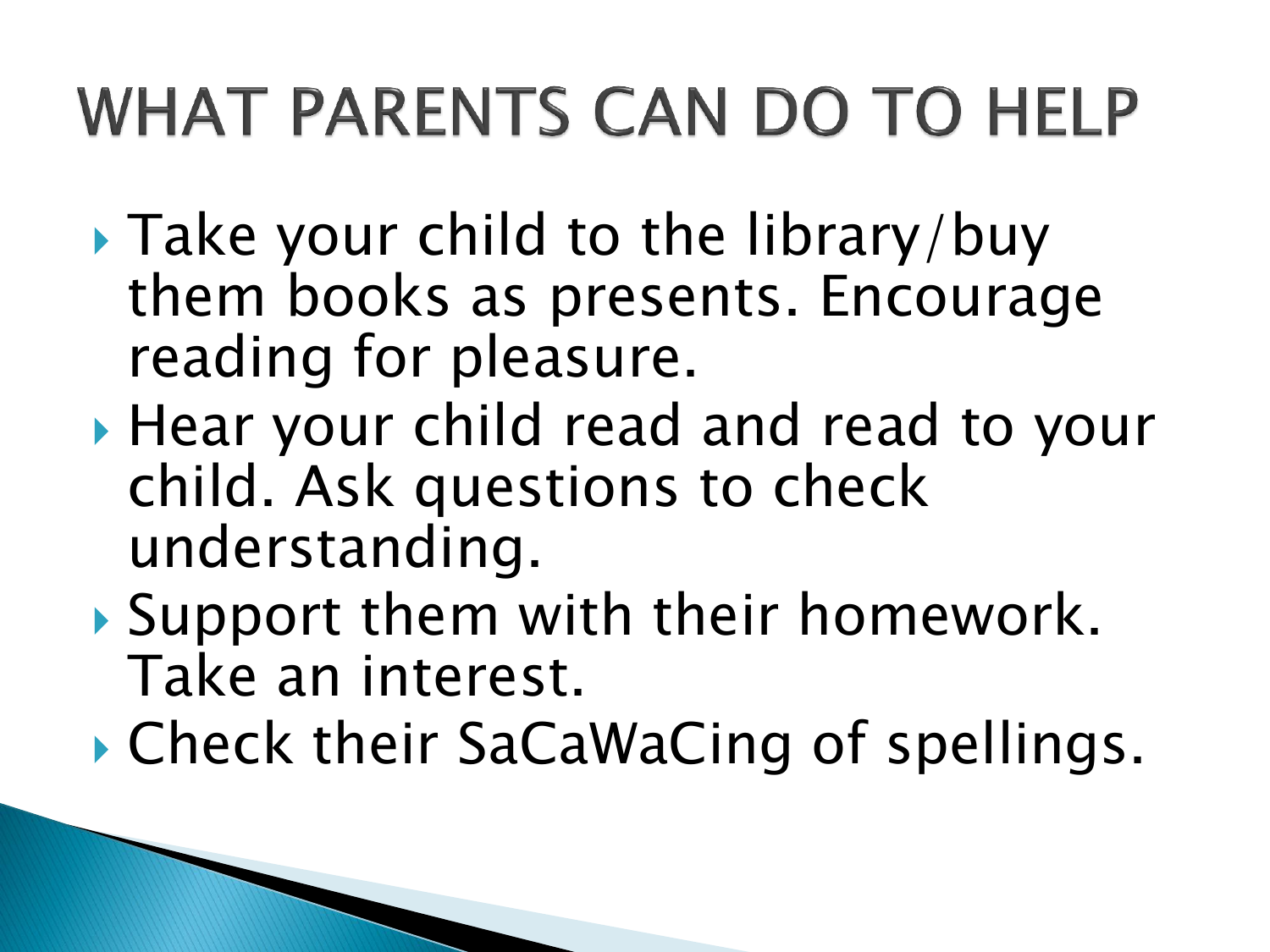#### **WHAT PARENTS CAN DO TO HELP**

- ▶ Take your child to the library/buy them books as presents. Encourage reading for pleasure.
- ▶ Hear your child read and read to your child. Ask questions to check understanding.
- Support them with their homework. Take an interest.
- ▶ Check their SaCaWaCing of spellings.